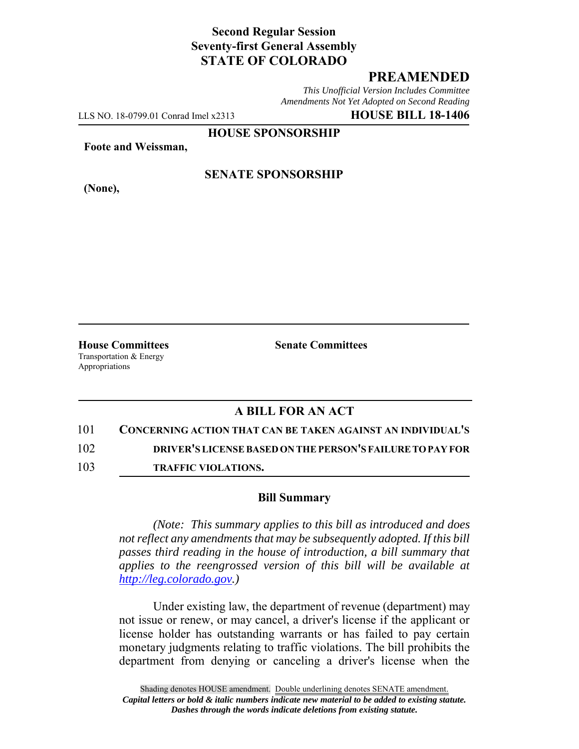# **Second Regular Session Seventy-first General Assembly STATE OF COLORADO**

## **PREAMENDED**

*This Unofficial Version Includes Committee Amendments Not Yet Adopted on Second Reading*

LLS NO. 18-0799.01 Conrad Imel x2313 **HOUSE BILL 18-1406**

**HOUSE SPONSORSHIP**

**Foote and Weissman,**

**(None),**

### **SENATE SPONSORSHIP**

**House Committees Senate Committees** Transportation & Energy Appropriations

## **A BILL FOR AN ACT**

### 101 **CONCERNING ACTION THAT CAN BE TAKEN AGAINST AN INDIVIDUAL'S**

102 **DRIVER'S LICENSE BASED ON THE PERSON'S FAILURE TO PAY FOR**

103 **TRAFFIC VIOLATIONS.**

### **Bill Summary**

*(Note: This summary applies to this bill as introduced and does not reflect any amendments that may be subsequently adopted. If this bill passes third reading in the house of introduction, a bill summary that applies to the reengrossed version of this bill will be available at http://leg.colorado.gov.)*

Under existing law, the department of revenue (department) may not issue or renew, or may cancel, a driver's license if the applicant or license holder has outstanding warrants or has failed to pay certain monetary judgments relating to traffic violations. The bill prohibits the department from denying or canceling a driver's license when the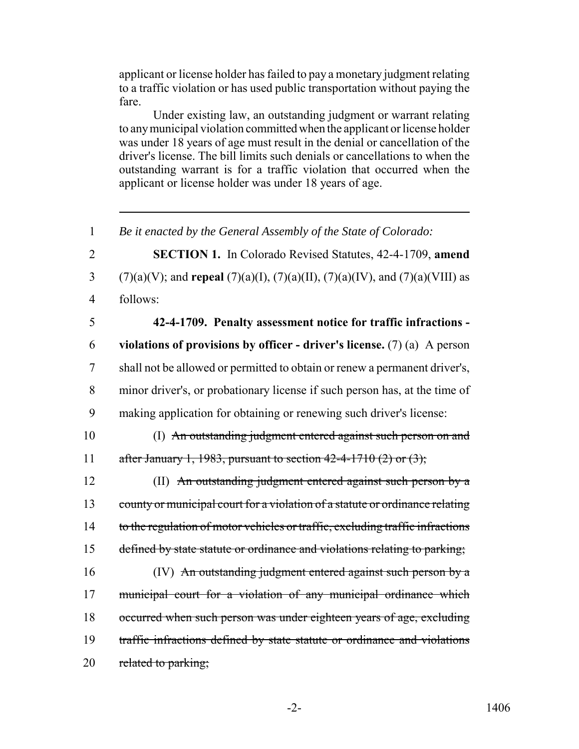applicant or license holder has failed to pay a monetary judgment relating to a traffic violation or has used public transportation without paying the fare.

Under existing law, an outstanding judgment or warrant relating to any municipal violation committed when the applicant or license holder was under 18 years of age must result in the denial or cancellation of the driver's license. The bill limits such denials or cancellations to when the outstanding warrant is for a traffic violation that occurred when the applicant or license holder was under 18 years of age.

 *Be it enacted by the General Assembly of the State of Colorado:* **SECTION 1.** In Colorado Revised Statutes, 42-4-1709, **amend** (7)(a)(V); and **repeal** (7)(a)(I), (7)(a)(II), (7)(a)(IV), and (7)(a)(VIII) as 4 follows: **42-4-1709. Penalty assessment notice for traffic infractions - violations of provisions by officer - driver's license.** (7) (a) A person shall not be allowed or permitted to obtain or renew a permanent driver's, minor driver's, or probationary license if such person has, at the time of making application for obtaining or renewing such driver's license: (I) An outstanding judgment entered against such person on and 11 after January 1, 1983, pursuant to section  $42-4-1710(2)$  or  $(3)$ ; (II) An outstanding judgment entered against such person by a 13 county or municipal court for a violation of a statute or ordinance relating 14 to the regulation of motor vehicles or traffic, excluding traffic infractions 15 defined by state statute or ordinance and violations relating to parking; (IV) An outstanding judgment entered against such person by a municipal court for a violation of any municipal ordinance which occurred when such person was under eighteen years of age, excluding traffic infractions defined by state statute or ordinance and violations 20 related to parking;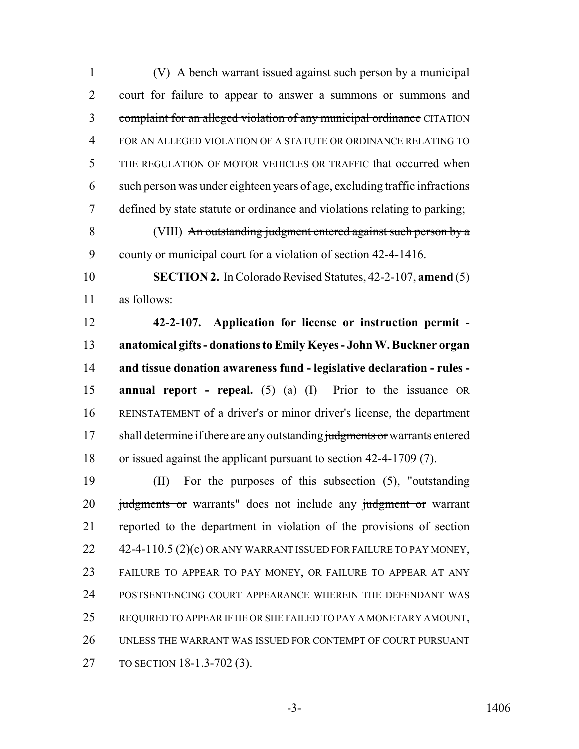(V) A bench warrant issued against such person by a municipal court for failure to appear to answer a summons or summons and 3 complaint for an alleged violation of any municipal ordinance CITATION FOR AN ALLEGED VIOLATION OF A STATUTE OR ORDINANCE RELATING TO THE REGULATION OF MOTOR VEHICLES OR TRAFFIC that occurred when such person was under eighteen years of age, excluding traffic infractions defined by state statute or ordinance and violations relating to parking; (VIII) An outstanding judgment entered against such person by a 9 county or municipal court for a violation of section 42-4-1416. **SECTION 2.** In Colorado Revised Statutes, 42-2-107, **amend** (5) as follows: **42-2-107. Application for license or instruction permit - anatomical gifts - donations to Emily Keyes - John W. Buckner organ and tissue donation awareness fund - legislative declaration - rules - annual report - repeal.** (5) (a) (I) Prior to the issuance OR REINSTATEMENT of a driver's or minor driver's license, the department 17 shall determine if there are any outstanding judgments or warrants entered or issued against the applicant pursuant to section 42-4-1709 (7). (II) For the purposes of this subsection (5), "outstanding 20 judgments or warrants" does not include any judgment or warrant reported to the department in violation of the provisions of section 22 42-4-110.5 (2)(c) OR ANY WARRANT ISSUED FOR FAILURE TO PAY MONEY, FAILURE TO APPEAR TO PAY MONEY, OR FAILURE TO APPEAR AT ANY POSTSENTENCING COURT APPEARANCE WHEREIN THE DEFENDANT WAS REQUIRED TO APPEAR IF HE OR SHE FAILED TO PAY A MONETARY AMOUNT,

 UNLESS THE WARRANT WAS ISSUED FOR CONTEMPT OF COURT PURSUANT TO SECTION 18-1.3-702 (3).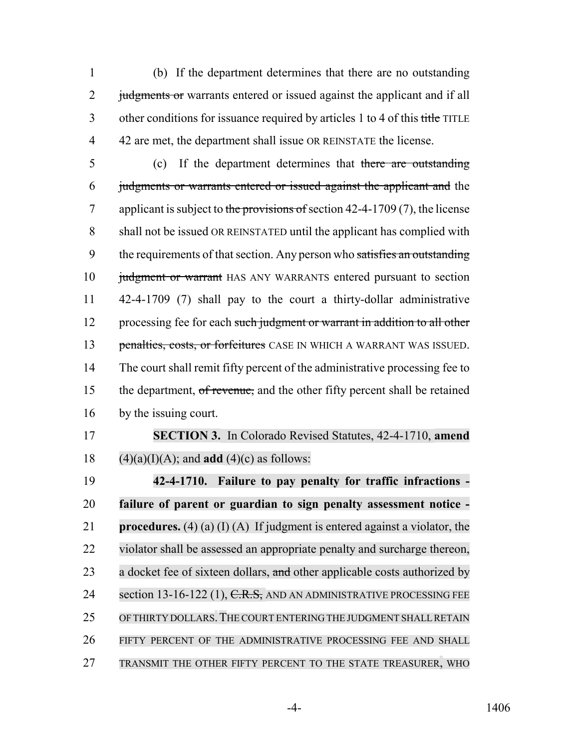1 (b) If the department determines that there are no outstanding 2 judgments or warrants entered or issued against the applicant and if all 3 other conditions for issuance required by articles 1 to 4 of this title TITLE 4 42 are met, the department shall issue OR REINSTATE the license.

- 5 (c) If the department determines that there are outstanding 6 judgments or warrants entered or issued against the applicant and the 7 applicant is subject to the provisions of section  $42-4-1709(7)$ , the license 8 shall not be issued OR REINSTATED until the applicant has complied with 9 the requirements of that section. Any person who satisfies an outstanding 10 judgment or warrant HAS ANY WARRANTS entered pursuant to section 11 42-4-1709 (7) shall pay to the court a thirty-dollar administrative 12 processing fee for each such judgment or warrant in addition to all other 13 penalties, costs, or forfeitures CASE IN WHICH A WARRANT WAS ISSUED. 14 The court shall remit fifty percent of the administrative processing fee to 15 the department, of revenue, and the other fifty percent shall be retained 16 by the issuing court.
- 

17 **SECTION 3.** In Colorado Revised Statutes, 42-4-1710, **amend** 18  $(4)(a)(I)(A)$ ; and **add**  $(4)(c)$  as follows:

 **42-4-1710. Failure to pay penalty for traffic infractions - failure of parent or guardian to sign penalty assessment notice - procedures.** (4) (a) (I) (A) If judgment is entered against a violator, the violator shall be assessed an appropriate penalty and surcharge thereon, 23 a docket fee of sixteen dollars, and other applicable costs authorized by 24 section 13-16-122 (1), C.R.S. AND AN ADMINISTRATIVE PROCESSING FEE 25 OF THIRTY DOLLARS. THE COURT ENTERING THE JUDGMENT SHALL RETAIN FIFTY PERCENT OF THE ADMINISTRATIVE PROCESSING FEE AND SHALL TRANSMIT THE OTHER FIFTY PERCENT TO THE STATE TREASURER, WHO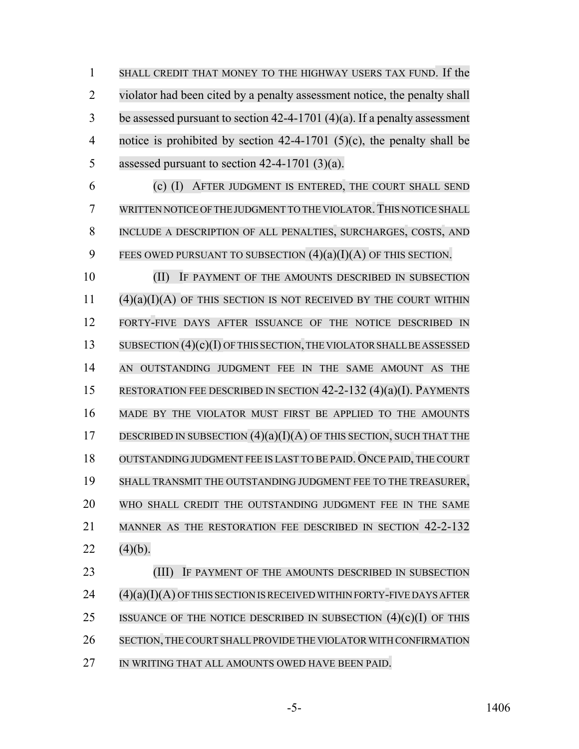SHALL CREDIT THAT MONEY TO THE HIGHWAY USERS TAX FUND. If the violator had been cited by a penalty assessment notice, the penalty shall be assessed pursuant to section 42-4-1701 (4)(a). If a penalty assessment notice is prohibited by section 42-4-1701 (5)(c), the penalty shall be assessed pursuant to section 42-4-1701 (3)(a).

 (c) (I) AFTER JUDGMENT IS ENTERED, THE COURT SHALL SEND WRITTEN NOTICE OF THE JUDGMENT TO THE VIOLATOR.THIS NOTICE SHALL INCLUDE A DESCRIPTION OF ALL PENALTIES, SURCHARGES, COSTS, AND 9 FEES OWED PURSUANT TO SUBSECTION  $(4)(a)(I)(A)$  OF THIS SECTION.

**IF PAYMENT OF THE AMOUNTS DESCRIBED IN SUBSECTION**  (4)(a)(I)(A) OF THIS SECTION IS NOT RECEIVED BY THE COURT WITHIN FORTY-FIVE DAYS AFTER ISSUANCE OF THE NOTICE DESCRIBED IN 13 SUBSECTION (4)(c)(I) OF THIS SECTION, THE VIOLATOR SHALL BE ASSESSED AN OUTSTANDING JUDGMENT FEE IN THE SAME AMOUNT AS THE RESTORATION FEE DESCRIBED IN SECTION 42-2-132 (4)(a)(I). PAYMENTS MADE BY THE VIOLATOR MUST FIRST BE APPLIED TO THE AMOUNTS 17 DESCRIBED IN SUBSECTION  $(4)(a)(I)(A)$  OF THIS SECTION, SUCH THAT THE OUTSTANDING JUDGMENT FEE IS LAST TO BE PAID. ONCE PAID, THE COURT SHALL TRANSMIT THE OUTSTANDING JUDGMENT FEE TO THE TREASURER, WHO SHALL CREDIT THE OUTSTANDING JUDGMENT FEE IN THE SAME MANNER AS THE RESTORATION FEE DESCRIBED IN SECTION 42-2-132 22  $(4)(b)$ .

**(III)** IF PAYMENT OF THE AMOUNTS DESCRIBED IN SUBSECTION (4)(a)(I)(A) OF THIS SECTION IS RECEIVED WITHIN FORTY-FIVE DAYS AFTER 25 ISSUANCE OF THE NOTICE DESCRIBED IN SUBSECTION  $(4)(c)(I)$  OF THIS SECTION, THE COURT SHALLPROVIDE THE VIOLATOR WITH CONFIRMATION 27 IN WRITING THAT ALL AMOUNTS OWED HAVE BEEN PAID.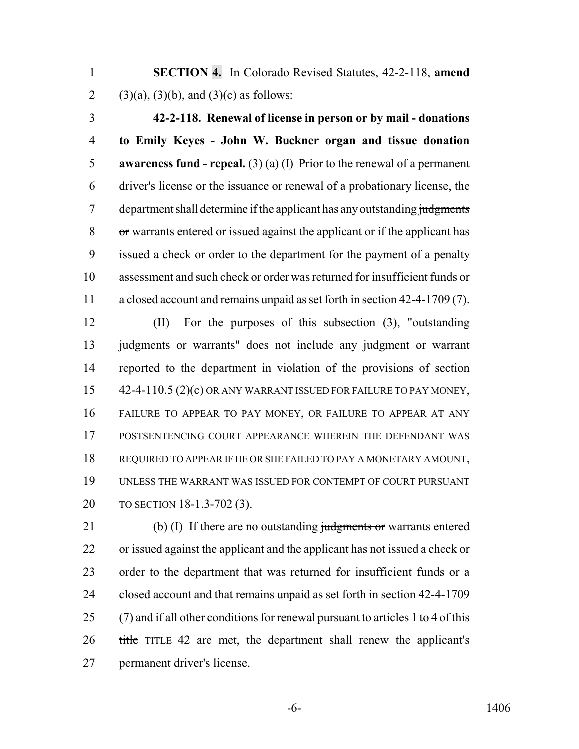**SECTION 4.** In Colorado Revised Statutes, 42-2-118, **amend** 2 (3)(a), (3)(b), and (3)(c) as follows:

 **42-2-118. Renewal of license in person or by mail - donations to Emily Keyes - John W. Buckner organ and tissue donation awareness fund - repeal.** (3) (a) (I) Prior to the renewal of a permanent driver's license or the issuance or renewal of a probationary license, the 7 department shall determine if the applicant has any outstanding judgments or warrants entered or issued against the applicant or if the applicant has issued a check or order to the department for the payment of a penalty assessment and such check or order was returned for insufficient funds or a closed account and remains unpaid as set forth in section 42-4-1709 (7).

 (II) For the purposes of this subsection (3), "outstanding 13 judgments or warrants" does not include any judgment or warrant reported to the department in violation of the provisions of section 15 42-4-110.5 (2)(c) OR ANY WARRANT ISSUED FOR FAILURE TO PAY MONEY, FAILURE TO APPEAR TO PAY MONEY, OR FAILURE TO APPEAR AT ANY POSTSENTENCING COURT APPEARANCE WHEREIN THE DEFENDANT WAS REQUIRED TO APPEAR IF HE OR SHE FAILED TO PAY A MONETARY AMOUNT, UNLESS THE WARRANT WAS ISSUED FOR CONTEMPT OF COURT PURSUANT TO SECTION 18-1.3-702 (3).

21 (b) (I) If there are no outstanding judgments or warrants entered or issued against the applicant and the applicant has not issued a check or order to the department that was returned for insufficient funds or a closed account and that remains unpaid as set forth in section 42-4-1709 (7) and if all other conditions for renewal pursuant to articles 1 to 4 of this title TITLE 42 are met, the department shall renew the applicant's permanent driver's license.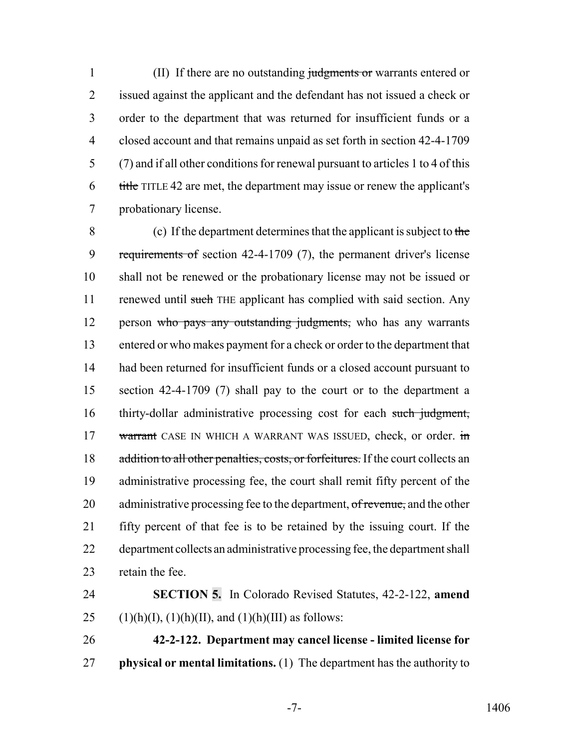1 (II) If there are no outstanding judgments or warrants entered or issued against the applicant and the defendant has not issued a check or order to the department that was returned for insufficient funds or a closed account and that remains unpaid as set forth in section 42-4-1709 (7) and if all other conditions for renewal pursuant to articles 1 to 4 of this title TITLE 42 are met, the department may issue or renew the applicant's probationary license.

 (c) If the department determines that the applicant is subject to the requirements of section 42-4-1709 (7), the permanent driver's license shall not be renewed or the probationary license may not be issued or 11 renewed until such THE applicant has complied with said section. Any 12 person who pays any outstanding judgments, who has any warrants entered or who makes payment for a check or order to the department that had been returned for insufficient funds or a closed account pursuant to section 42-4-1709 (7) shall pay to the court or to the department a 16 thirty-dollar administrative processing cost for each such judgment, 17 warrant CASE IN WHICH A WARRANT WAS ISSUED, check, or order. in 18 addition to all other penalties, costs, or forfeitures. If the court collects an administrative processing fee, the court shall remit fifty percent of the 20 administrative processing fee to the department, of revenue, and the other fifty percent of that fee is to be retained by the issuing court. If the department collects an administrative processing fee, the department shall retain the fee.

 **SECTION 5.** In Colorado Revised Statutes, 42-2-122, **amend** 25 (1)(h)(I), (1)(h)(II), and (1)(h)(III) as follows:

 **42-2-122. Department may cancel license - limited license for physical or mental limitations.** (1) The department has the authority to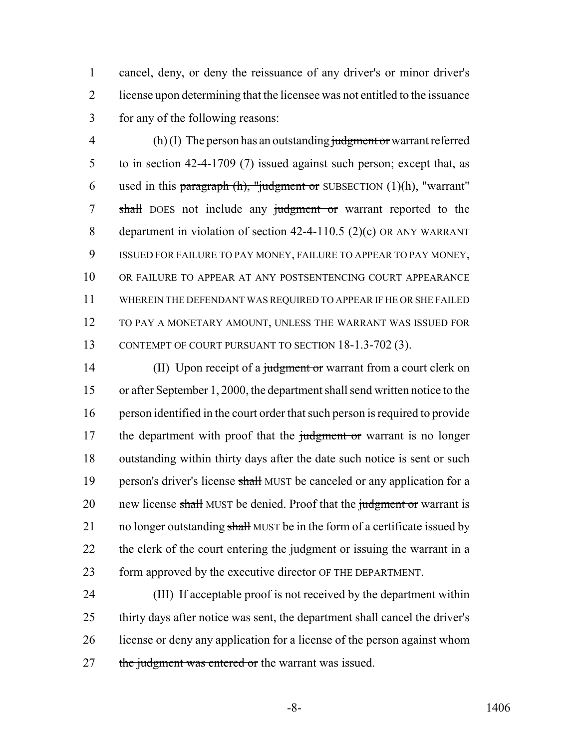1 cancel, deny, or deny the reissuance of any driver's or minor driver's 2 license upon determining that the licensee was not entitled to the issuance 3 for any of the following reasons:

 $\mathbf{A}$  (h) (I) The person has an outstanding judgment or warrant referred 5 to in section 42-4-1709 (7) issued against such person; except that, as 6 used in this paragraph  $(h)$ , "judgment or SUBSECTION  $(1)(h)$ , "warrant" 7 shall DOES not include any judgment or warrant reported to the 8 department in violation of section 42-4-110.5 (2)(c) OR ANY WARRANT 9 ISSUED FOR FAILURE TO PAY MONEY, FAILURE TO APPEAR TO PAY MONEY, 10 OR FAILURE TO APPEAR AT ANY POSTSENTENCING COURT APPEARANCE 11 WHEREIN THE DEFENDANT WAS REQUIRED TO APPEAR IF HE OR SHE FAILED 12 TO PAY A MONETARY AMOUNT, UNLESS THE WARRANT WAS ISSUED FOR 13 CONTEMPT OF COURT PURSUANT TO SECTION 18-1.3-702 (3).

14 (II) Upon receipt of a judgment or warrant from a court clerk on 15 or after September 1, 2000, the department shall send written notice to the 16 person identified in the court order that such person is required to provide 17 the department with proof that the judgment or warrant is no longer 18 outstanding within thirty days after the date such notice is sent or such 19 person's driver's license shall MUST be canceled or any application for a 20 new license shall MUST be denied. Proof that the judgment or warrant is 21 no longer outstanding shall MUST be in the form of a certificate issued by 22 the clerk of the court entering the judgment or issuing the warrant in a 23 form approved by the executive director OF THE DEPARTMENT.

 (III) If acceptable proof is not received by the department within thirty days after notice was sent, the department shall cancel the driver's license or deny any application for a license of the person against whom 27 the judgment was entered or the warrant was issued.